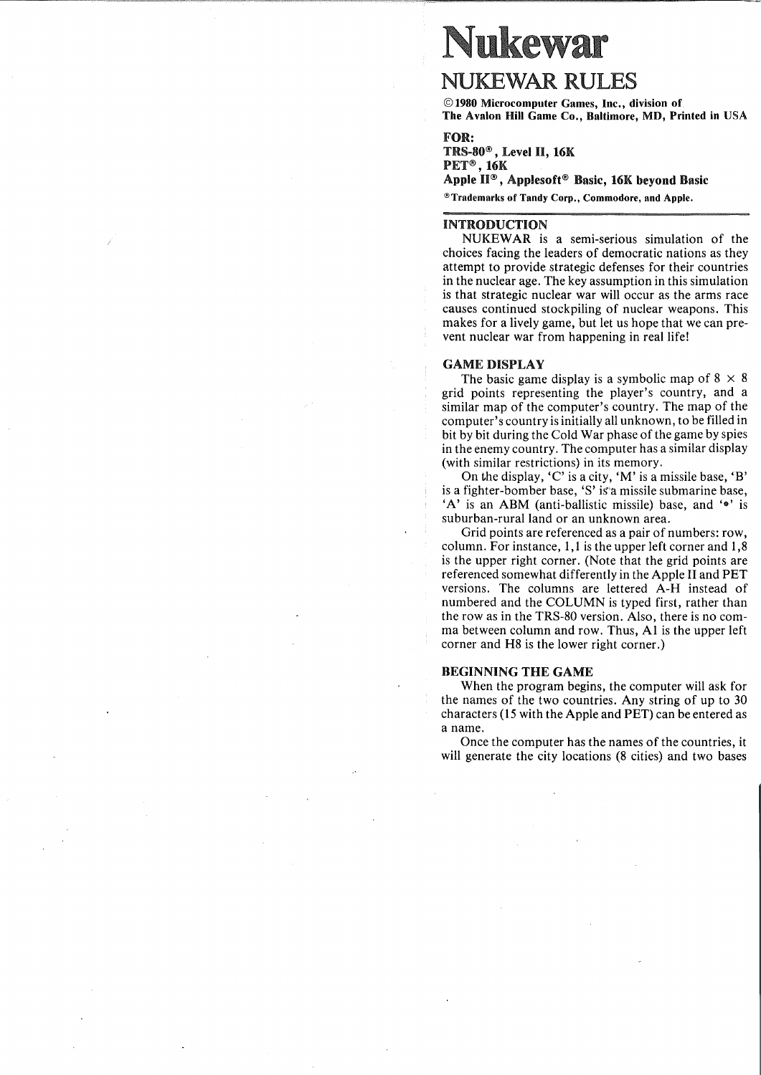# **Nukewar**

# **NUKEWAR RULES**

©1980 Microcomputer Games, Inc., division of The Avalon Hill Game Co., Baltimore, MD, Printed in USA

# FOR:

TRS-80® , Level II, 16K PET®, 16K Apple II® , Applesoft® Basic, 16K beyond Basic @Trademarks of Tandy Corp., Commodore, and Apple.

# INTRODUCTION

NUKEWAR is a semi-serious simulation of the choices facing the leaders of democratic nations as they attempt to provide strategic defenses for their countries in the nuclear age. The key assumption in this simulation is that strategic nuclear war will occur as the arms race causes continued stockpiling of nuclear weapons. This makes for a lively game, but let us hope that we can prevent nuclear war from happening in real life!

#### GAME DISPLAY

The basic game display is a symbolic map of  $8 \times 8$ grid points representing the player's country, and a similar map of the computer's country. The map of the computer's country is initially all unknown, to be filled in bit by bit during the Cold War phase of the game by spies in the enemy country. The computer has a similar display (with similar restrictions) in its memory.

On the display, 'C' is a city, 'M' is a missile base, 'B' is a fighter-bomber base, 'S' is"a missile submarine base,  $'A'$  is an ABM (anti-ballistic missile) base, and  $\cdot \bullet'$  is suburban-rural land or an unknown area.

Grid points are referenced as a pair of numbers: row, column. For instance, 1,1 is the upper left corner and 1,8 is the upper right corner. (Note that the grid points are referenced somewhat differently in the Apple II and PET versions. The columns are lettered A-H instead of numbered and the COLUMN is typed first, rather than the row as in the TRS-80 version. Also, there is no comma between column and row. Thus, Al is the upper left corner and H8 is the lower right corner.)

#### BEGINNING THE GAME

When the program begins, the computer will ask for the names of the two countries. Any string of up to 30 characters (15 with the Apple and PET) can be entered as a name.

Once the computer has the names of the countries, it will generate the city locations (8 cities) and two bases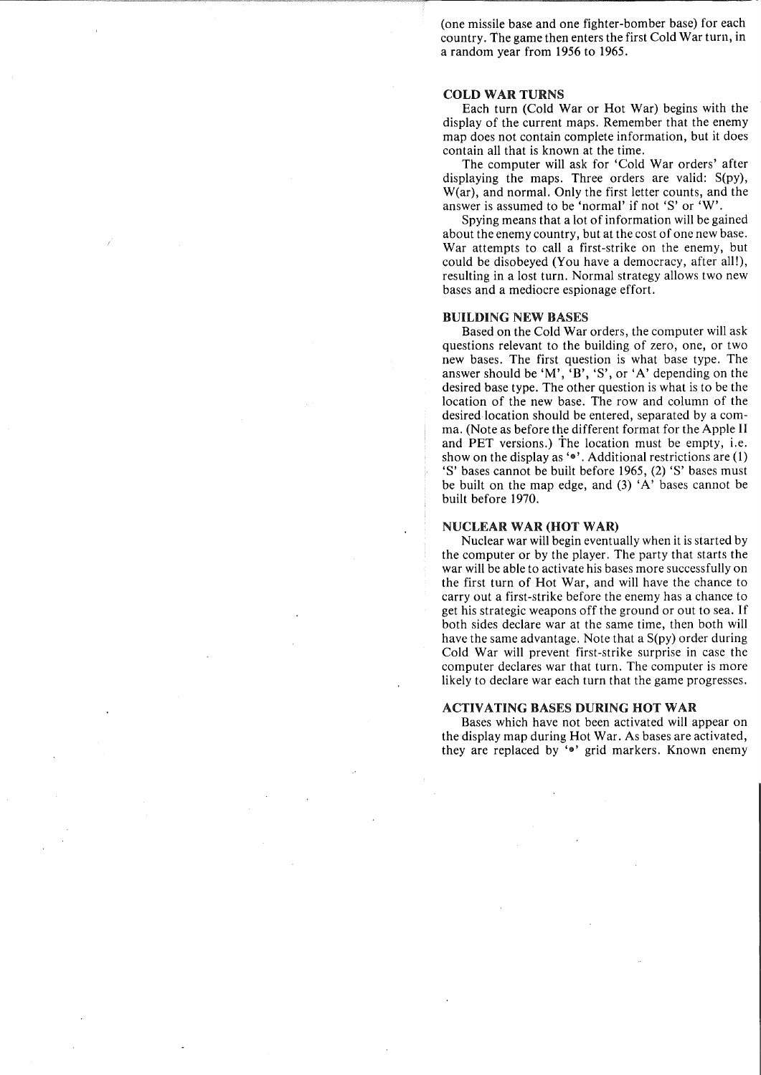(one missile base and one fighter-bomber base) for each country. The game then enters the first Cold War turn, in a random year from 1956 to 1965.

#### COLD WAR TURNS

Each turn (Cold War or Hot War) begins with the display of the current maps. Remember that the enemy map does not contain complete information, but it does contain all that is known at the time.

The computer will ask for 'Cold War orders' after displaying the maps. Three orders are valid: S(py), W(ar), and normal. Only the first letter counts, and the answer is assumed to be 'normal' if not'S' or 'W'.

Spying means that a lot of information will be gained about the enemy country, but at the cost of one new base. War attempts to call a first-strike on the enemy, but could be disobeyed (You have a democracy, after all!), resulting in a lost turn. Normal strategy allows two new bases and a mediocre espionage effort.

#### BUILDING NEW BASES

Based on the Cold War orders, the computer will ask questions relevant to the building of zero, one, or two new bases. The first question is what base type. The answer should be 'M', 'B', 'S', or 'A' depending on the desired base type. The other question is what is to be the location of the new base. The row and column of the desired location should be entered, separated by a comma. (Note as before the different format for the Apple II and PET versions.) The location must be empty, i.e. show on the display as 'e'. Additional restrictions are (1) 'S' bases cannot be built before 1965, (2) 'S' bases must be built on the map edge, and (3) 'A' bases cannot be built before 1970.

#### NUCLEAR WAR (HOT WAR)

Nuclear war will begin eventually when it is started by the computer or by the player. The party that starts the war will be able to activate his bases more successfully on the first turn of Hot War, and will have the chance to carry out a first-strike before the enemy has a chance to get his strategic weapons off the ground or out to sea. If both sides declare war at the same time, then both will have the same advantage. Note that a S(py) order during Cold War will prevent first-strike surprise in case the computer declares war that turn. The computer is more likely to declare war each turn that the game progresses.

#### ACTIVATING BASES DURING HOT WAR

Bases which have not been activated will appear on the display map during Hot War. As bases are activated, they are replaced by 'e' grid markers. Known enemy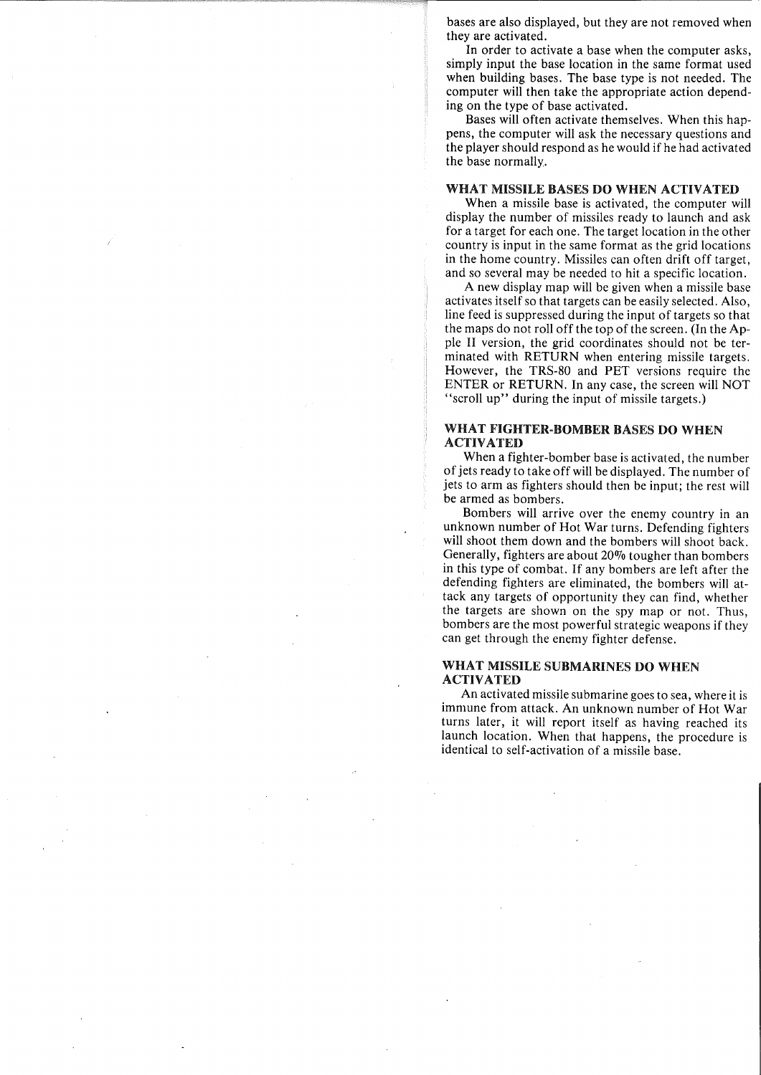bases are also displayed, but they are not removed when they are activated.

In order to activate a base when the computer asks, simply input the base location in the same format used when building bases. The base type is not needed. The computer will then take the appropriate action depending on the type of base activated.

Bases will often activate themselves. When this happens, the computer will ask the necessary questions and the player should respond as he would if he had activated the base normally.

#### WHAT MISSILE BASES DO WHEN ACTIVATED

When a missile base is activated, the computer will display the number of missiles ready to launch and ask for a target for each one. The target location in the other country is input in the same format as the grid locations in the home country. Missiles can often drift off target, and so several may be needed to hit a specific location.

A new display map will be given when a missile base activates itself so that targets can be easily selected. Also, line feed is suppressed during the input of targets so that the maps do not roll off the top of the screen. (In the Apple II version, the grid coordinates should not be terminated with RETURN when entering missile targets. However, the TRS-80 and PET versions require the ENTER or RETURN. In any case, the screen will NOT "scroll up" during the input of missile targets.)

# WHAT FIGHTER·BOMBER BASES DO WHEN ACTIVATED

When a fighter-bomber base is activated, the number of jets ready to take off will be displayed. The number of jets to arm as fighters should then be input; the rest will be armed as bombers.

Bombers will arrive over the enemy country in an unknown number of Hot War turns. Defending fighters will shoot them down and the bombers will shoot back. Generally, fighters are about  $20\%$  tougher than bombers in this type of combat. If any bombers are left after the defending fighters are eliminated, the bombers will attack any targets of opportunity they can find, whether the targets are shown on the spy map or not. Thus, bombers are the most powerful strategic weapons if they can get through the enemy fighter defense.

#### WHAT MISSILE SUBMARINES DO WHEN ACTIVATED

An activated missile submarine goes to sea, where it is immune from attack. An unknown number of Hot War turns later, it will report itself as having reached its launch location. When that happens, the procedure is identical to self-activation of a missile base.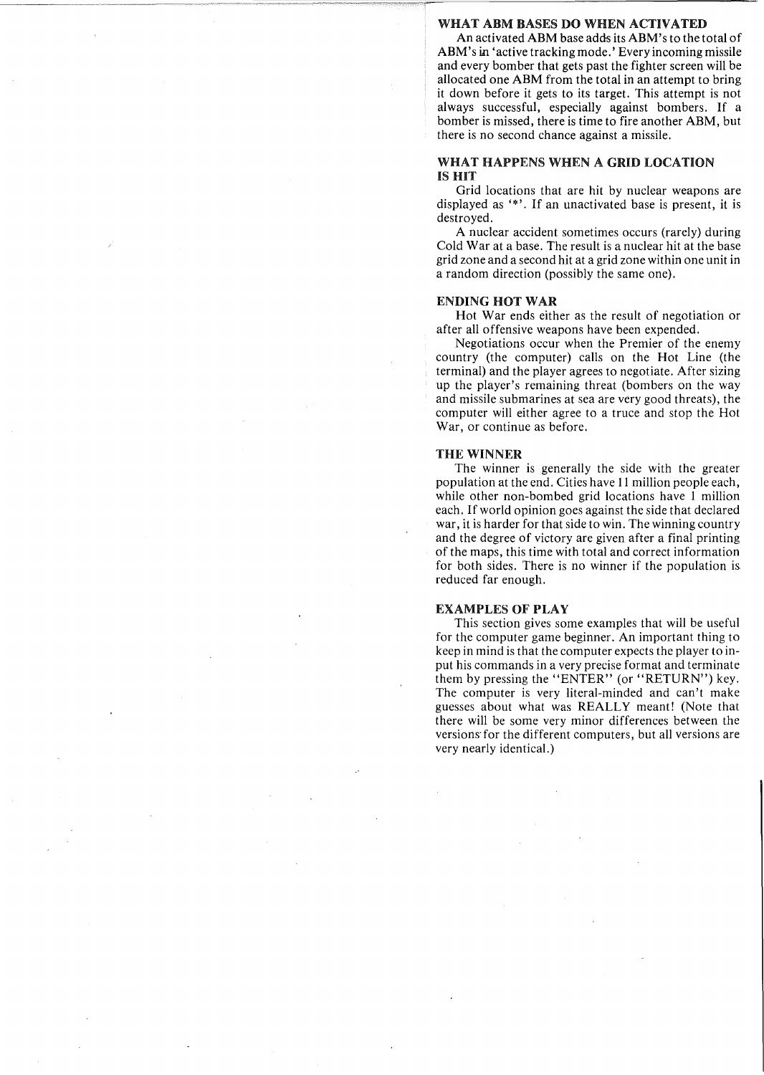#### WHAT ARM RASES DO WHEN ACTIVATED

An activated ABM base adds its ABM's to the total of ABM's in 'active tracking mode.' Every incoming missile and every bomber that gets past the fighter screen will be allocated one ABM from the total in an attempt to bring it down before it gets to its target. This attempt is not always successful, especially against bombers. If a bomber is missed, there is time to fire another ABM, but there is no second chance against a missile.

#### WHAT HAPPENS WHEN A GRID LOCATION IS HIT

Grid locations that are hit by nuclear weapons are displayed as '\*'. If an unactivated base is present, it is destroyed.

A nuclear accident sometimes occurs (rarely) during Cold War at a base. The result is a nuclear hit at the base grid zone and a second hit at a grid zone within one unit in a random direction (possibly the same one).

#### ENDING HOT WAR

Hot War ends either as the result of negotiation or after all offensive weapons have been expended.

Negotiations occur when the Premier of the enemy country (the computer) calls on the Hot Line (the terminal) and the player agrees to negotiate. After sizing up the player's remaining threat (bombers on the way and missile submarines at sea are very good threats), the computer will either agree to a truce and stop the Hot War, or continue as before.

#### THE WINNER

The winner is generally the side with the greater population at the end. Cities have **11** million people each, while other non-bombed grid locations have 1 million each. If world opinion goes against the side that declared war, it is harder for that side to win. The winning country and the degree of victory are given after a final printing of the maps, this time with total and correct information for both sides. There is no winner if the population is reduced far enough.

#### EXAMPLES OF PLAY

This section gives some examples that will be useful for the computer game beginner. An important thing to keep in mind is that the computer expects the player to input his commands in a very precise format and terminate them by pressing the "ENTER" (or "RETURN") key. The computer is very literal-minded and can't make guesses about what was REALLY meant! (Note that there will be some very minor differences between the versions' for the different computers, but all versions are very nearly identical.)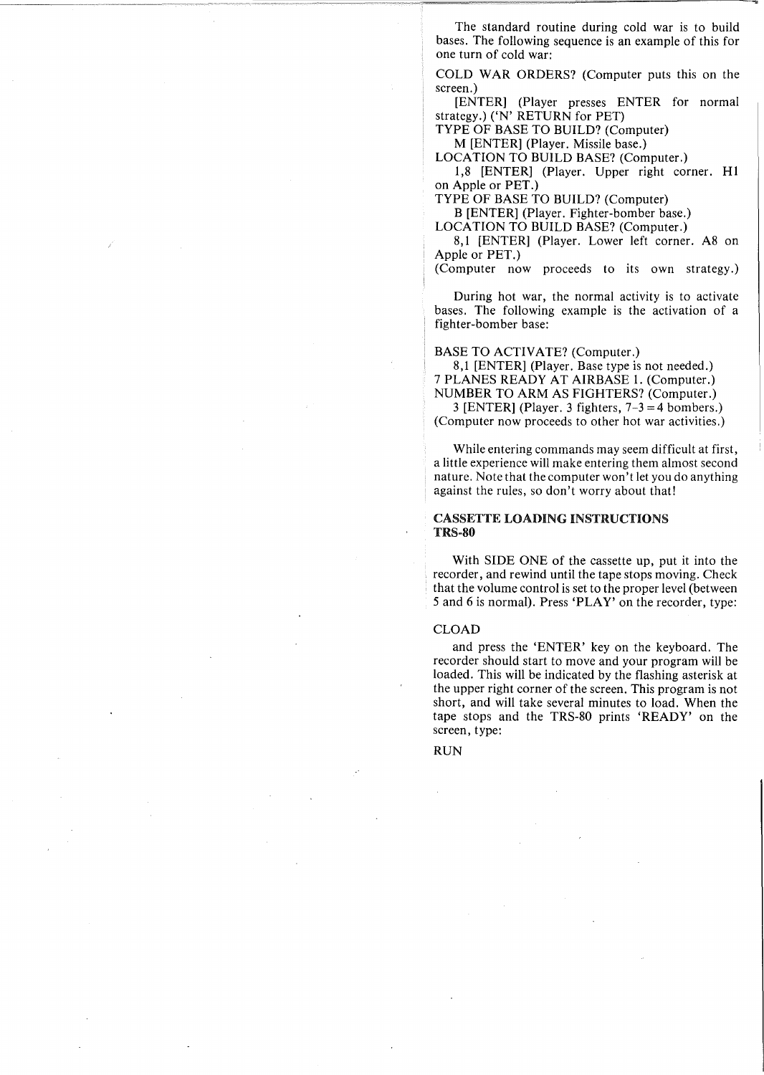The standard routine during cold war is to build bases. The following sequence is an example of this for one turn of cold war:

COLD WAR ORDERS? (Computer puts this on the screen.)

[ENTER] (Player presses ENTER for normal strategy.) ('N' RETURN for PET)

TYPE OF BASE TO BUILD? (Computer)

M [ENTER] (Player. Missile base.) LOCATION TO BUILD BASE? (Computer.)

1,8 [ENTER] (Player. Upper right corner. HI on Apple or PET.)

TYPE OF BASE TO BUILD? (Computer) B [ENTER] (Player. Fighter-bomber base.)

LOCATION TO BUILD BASE? (Computer.)

8,1 [ENTER] (Player. Lower left corner. A8 on Apple or PET.)

(Computer now proceeds to its own strategy.)

During hot war, the normal activity is to activate bases. The following example is the activation of a fighter-bomber base:

BASE TO ACTIVATE? (Computer.)

8,1 [ENTER] (Player. Base type is not needed.) 7 PLANES READY AT AIRBASE 1. (Computer.) NUMBER TO ARM AS FIGHTERS? (Computer.)

3 [ENTER] (Player. 3 fighters,  $7-3 = 4$  bombers.) (Computer now proceeds to other hot war activities.)

While entering commands may seem difficult at first, a little experience will make entering them almost second nature. Note that the computer won't let you do anything against the rules, so don't worry about that!

#### CASSETTE LOADING INSTRUCTIONS TRS-80

With SIDE ONE of the cassette up, put it into the recorder, and rewind until the tape stops moving. Check that the volume control is set to the proper level (between 5 and 6 is normal). Press 'PLAY' on the recorder, type:

#### CLOAD

and press the 'ENTER' key on the keyboard. The recorder should start to move and your program will be loaded. This will be indicated by the flashing asterisk at the upper right corner of the screen. This program is not short, and will take several minutes to load. When the tape stops and the TRS-80 prints 'READY' on the screen, type:

RUN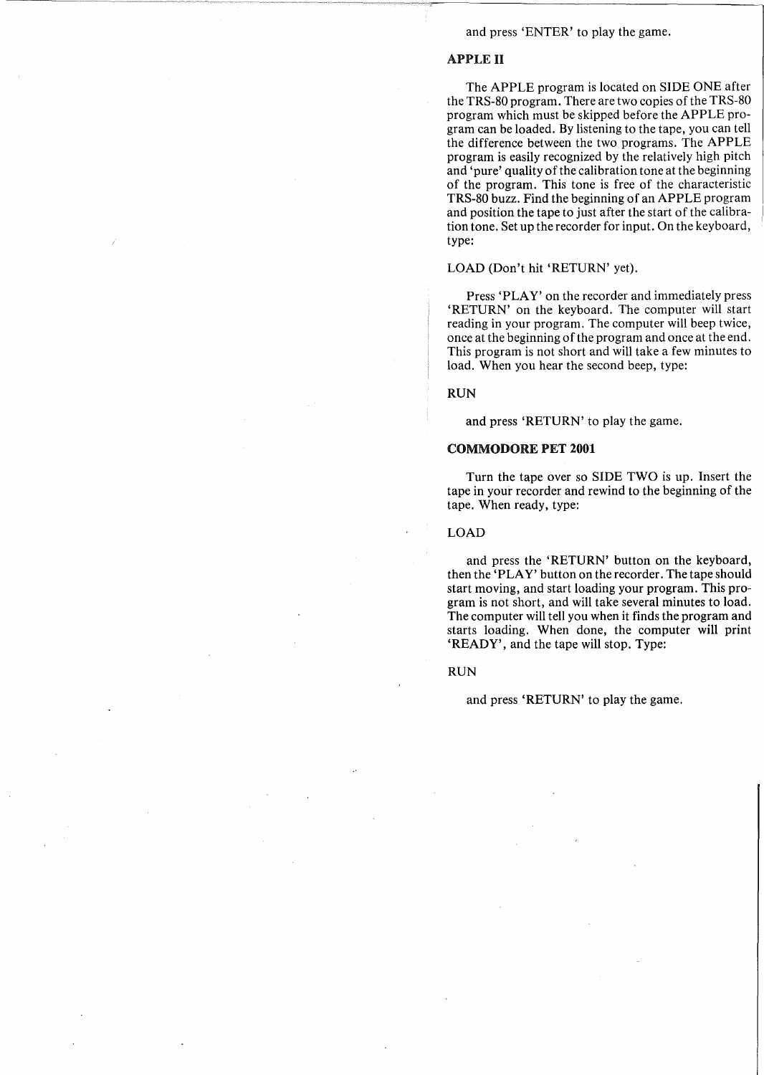#### and press 'ENTER' to play the game.

# APPLE II

The APPLE program is located on SIDE ONE after the TRS-80 program. There are two copies of the TRS-80 program which must be skipped before the APPLE program can be loaded. By listening to the tape, you can tell the difference between the two programs. The APPLE program is easily recognized by the relatively high pitch and 'pure' quality of the calibration tone at the beginning of the program. This tone is free of the characteristic TRS-80 buzz. Find the beginning of an APPLE program and position the tape to just after the start of the calibration tone. Set up the recorder for input. On the keyboard, type:

#### LOAD (Don't hit 'RETURN' yet).

Press 'PLAY' on the recorder and immediately press 'RETURN' on the keyboard. The computer will start reading in your program. The computer will beep twice, once at the beginning of the program and once at the end. This program is not short and will take a few minutes to load. When you hear the second beep, type:

RUN

and press 'RETURN' to play the game.

## COMMODORE PET 2001

Turn the tape over so SIDE TWO is up. Insert the tape in your recorder and rewind to the beginning of the tape. When ready, type:

LOAD

and press the 'RETURN' button on the keyboard, then the 'PLAY' button on the recorder. The tape should start moving, and start loading your program. This program is not short, and will take several minutes to load. The computer will tell you when it finds the program and starts loading. When done, the computer will print 'READY', and the tape will stop. Type:

#### RUN

and press 'RETURN' to play the game.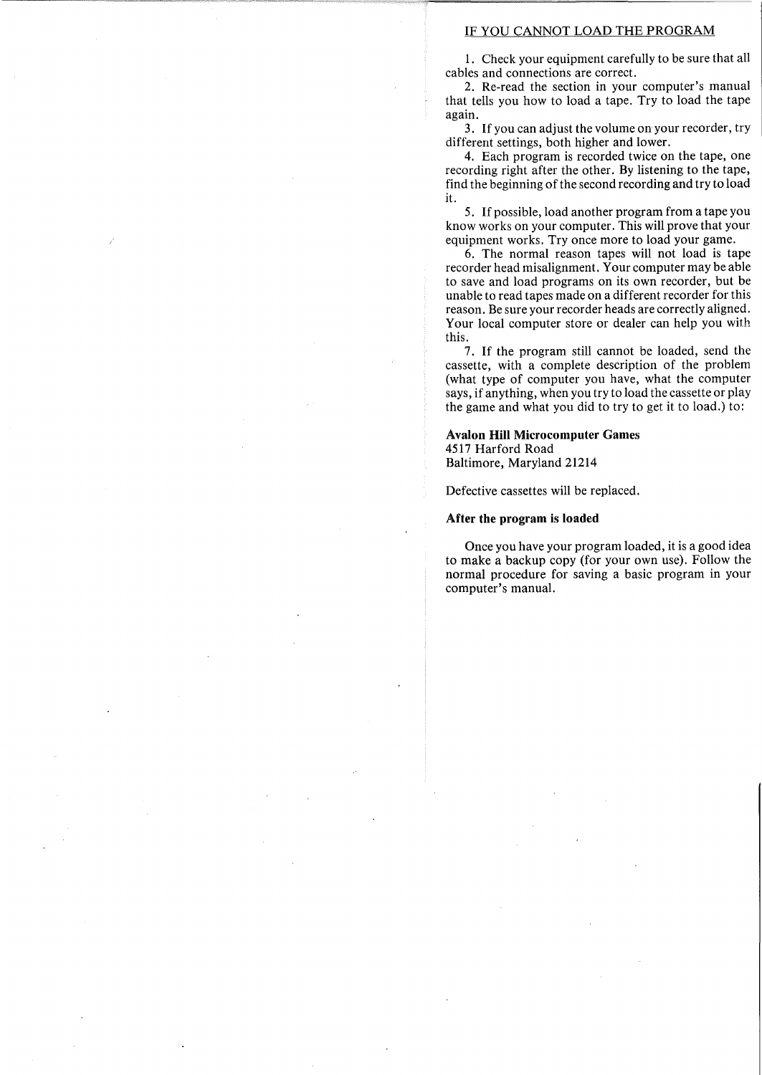#### IF YOU CANNOT LOAD THE PROGRAM

1. Check your equipment carefully to be sure that all cables and connections are correct.

2. Re-read the section in your computer's manual that tells you how to load a tape. Try to load the tape again.

3. If you can adjust the volume on your recorder, try different settings, both higher and lower.

4. Each program is recorded twice on the tape, one recording right after the other. By listening to the tape, find the beginning of the second recording and try to load it.

5. If possible, load another program from a tape you know works on your computer. This will prove that your equipment works. Try once more to load your game.

6. The normal reason tapes will not load is tape recorder head misalignment. Your computer may be able to save and load programs on its own recorder, but be unable to read tapes made on a different recorder for this reason. Be sure your recorder heads are correctly aligned. Your local computer store or dealer can help you with this.

7. If the program still cannot be loaded, send the cassette, with a complete description of the problem (what type of computer you have, what the computer says, if anything, when you try to load the cassette or play the game and what you did to try to get it to load.) to:

#### Avalon Hill Microcomputer Games 4517 Harford Road

Baltimore, Maryland 21214

Defective cassettes will be replaced.

#### After the program is loaded

Once you have your program loaded, it is a good idea to make a backup copy (for your own use). Follow the normal procedure for saving a basic program in your computer's manual.